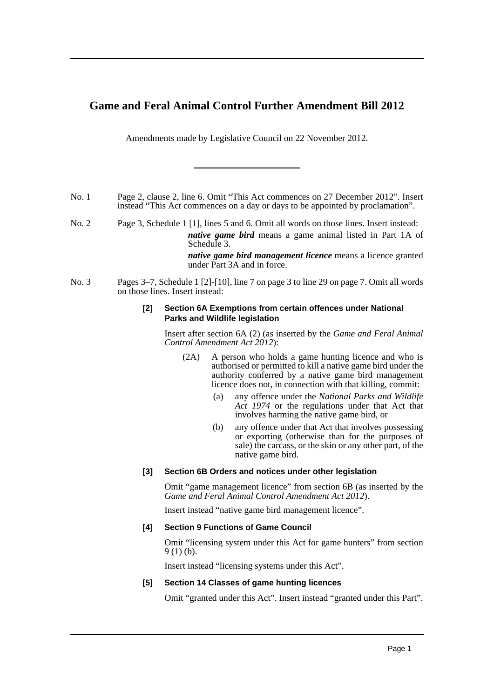## **Game and Feral Animal Control Further Amendment Bill 2012**

Amendments made by Legislative Council on 22 November 2012.

- No. 1 Page 2, clause 2, line 6. Omit "This Act commences on 27 December 2012". Insert instead "This Act commences on a day or days to be appointed by proclamation".
- No. 2 Page 3, Schedule 1 [1], lines 5 and 6. Omit all words on those lines. Insert instead: *native game bird* means a game animal listed in Part 1A of Schedule 3.

*native game bird management licence* means a licence granted under Part 3A and in force.

No. 3 Pages 3–7, Schedule 1 [2]-[10], line 7 on page 3 to line 29 on page 7. Omit all words on those lines. Insert instead:

### **[2] Section 6A Exemptions from certain offences under National Parks and Wildlife legislation**

Insert after section 6A (2) (as inserted by the *Game and Feral Animal Control Amendment Act 2012*):

- (2A) A person who holds a game hunting licence and who is authorised or permitted to kill a native game bird under the authority conferred by a native game bird management licence does not, in connection with that killing, commit:
	- (a) any offence under the *National Parks and Wildlife Act 1974* or the regulations under that Act that involves harming the native game bird, or
	- (b) any offence under that Act that involves possessing or exporting (otherwise than for the purposes of sale) the carcass, or the skin or any other part, of the native game bird.

## **[3] Section 6B Orders and notices under other legislation**

Omit "game management licence" from section 6B (as inserted by the *Game and Feral Animal Control Amendment Act 2012*).

Insert instead "native game bird management licence".

## **[4] Section 9 Functions of Game Council**

Omit "licensing system under this Act for game hunters" from section 9 (1) (b).

Insert instead "licensing systems under this Act".

## **[5] Section 14 Classes of game hunting licences**

Omit "granted under this Act". Insert instead "granted under this Part".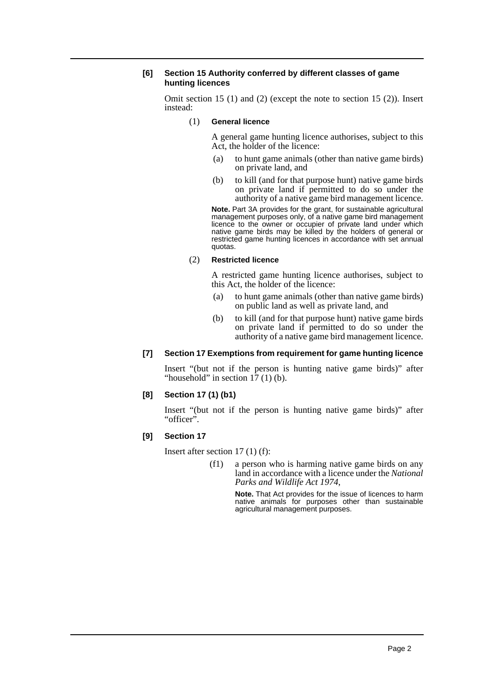### **[6] Section 15 Authority conferred by different classes of game hunting licences**

Omit section 15 (1) and (2) (except the note to section 15 (2)). Insert instead:

(1) **General licence**

A general game hunting licence authorises, subject to this Act, the holder of the licence:

- (a) to hunt game animals (other than native game birds) on private land, and
- (b) to kill (and for that purpose hunt) native game birds on private land if permitted to do so under the authority of a native game bird management licence.

**Note.** Part 3A provides for the grant, for sustainable agricultural management purposes only, of a native game bird management licence to the owner or occupier of private land under which native game birds may be killed by the holders of general or restricted game hunting licences in accordance with set annual quotas.

#### (2) **Restricted licence**

A restricted game hunting licence authorises, subject to this Act, the holder of the licence:

- (a) to hunt game animals (other than native game birds) on public land as well as private land, and
- (b) to kill (and for that purpose hunt) native game birds on private land if permitted to do so under the authority of a native game bird management licence.

#### **[7] Section 17 Exemptions from requirement for game hunting licence**

Insert "(but not if the person is hunting native game birds)" after "household" in section  $17(1)$  (b).

#### **[8] Section 17 (1) (b1)**

Insert "(but not if the person is hunting native game birds)" after "officer".

## **[9] Section 17**

Insert after section 17 (1) (f):

(f1) a person who is harming native game birds on any land in accordance with a licence under the *National Parks and Wildlife Act 1974*,

> **Note.** That Act provides for the issue of licences to harm native animals for purposes other than sustainable agricultural management purposes.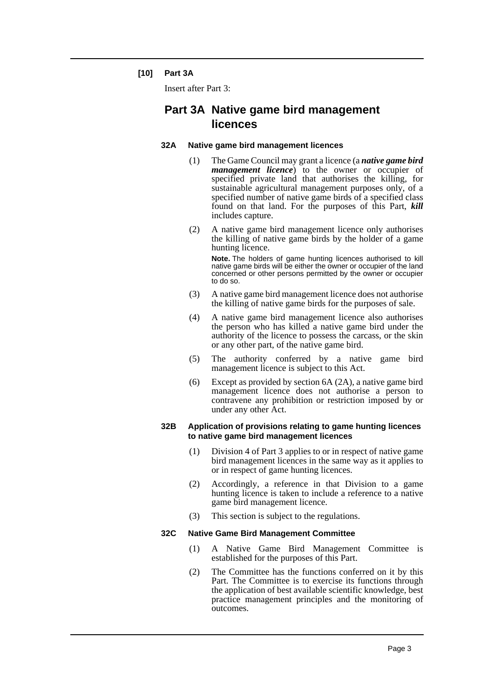## **[10] Part 3A**

Insert after Part 3:

# **Part 3A Native game bird management licences**

### **32A Native game bird management licences**

- (1) The Game Council may grant a licence (a *native game bird management licence*) to the owner or occupier of specified private land that authorises the killing, for sustainable agricultural management purposes only, of a specified number of native game birds of a specified class found on that land. For the purposes of this Part, *kill* includes capture.
- (2) A native game bird management licence only authorises the killing of native game birds by the holder of a game hunting licence.

**Note.** The holders of game hunting licences authorised to kill native game birds will be either the owner or occupier of the land concerned or other persons permitted by the owner or occupier to do so.

- (3) A native game bird management licence does not authorise the killing of native game birds for the purposes of sale.
- (4) A native game bird management licence also authorises the person who has killed a native game bird under the authority of the licence to possess the carcass, or the skin or any other part, of the native game bird.
- (5) The authority conferred by a native game bird management licence is subject to this Act.
- (6) Except as provided by section 6A (2A), a native game bird management licence does not authorise a person to contravene any prohibition or restriction imposed by or under any other Act.

#### **32B Application of provisions relating to game hunting licences to native game bird management licences**

- (1) Division 4 of Part 3 applies to or in respect of native game bird management licences in the same way as it applies to or in respect of game hunting licences.
- (2) Accordingly, a reference in that Division to a game hunting licence is taken to include a reference to a native game bird management licence.
- (3) This section is subject to the regulations.

## **32C Native Game Bird Management Committee**

- (1) A Native Game Bird Management Committee is established for the purposes of this Part.
- (2) The Committee has the functions conferred on it by this Part. The Committee is to exercise its functions through the application of best available scientific knowledge, best practice management principles and the monitoring of outcomes.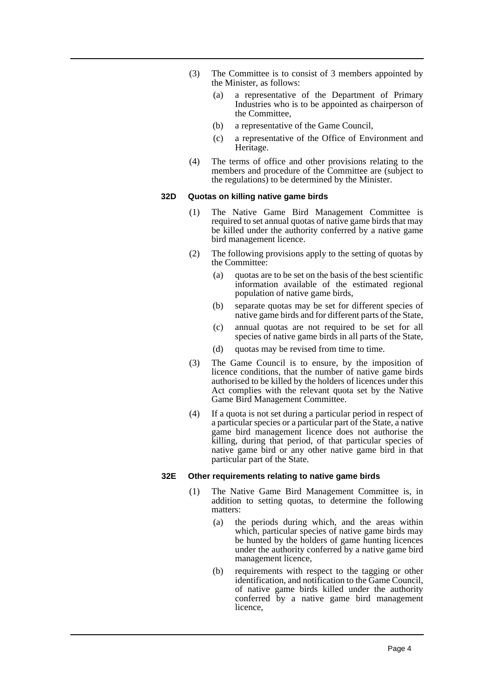- (3) The Committee is to consist of 3 members appointed by the Minister, as follows:
	- (a) a representative of the Department of Primary Industries who is to be appointed as chairperson of the Committee,
	- (b) a representative of the Game Council,
	- (c) a representative of the Office of Environment and Heritage.
- (4) The terms of office and other provisions relating to the members and procedure of the Committee are (subject to the regulations) to be determined by the Minister.

### **32D Quotas on killing native game birds**

- (1) The Native Game Bird Management Committee is required to set annual quotas of native game birds that may be killed under the authority conferred by a native game bird management licence.
- (2) The following provisions apply to the setting of quotas by the Committee:
	- (a) quotas are to be set on the basis of the best scientific information available of the estimated regional population of native game birds,
	- (b) separate quotas may be set for different species of native game birds and for different parts of the State,
	- (c) annual quotas are not required to be set for all species of native game birds in all parts of the State,
	- (d) quotas may be revised from time to time.
- (3) The Game Council is to ensure, by the imposition of licence conditions, that the number of native game birds authorised to be killed by the holders of licences under this Act complies with the relevant quota set by the Native Game Bird Management Committee.
- (4) If a quota is not set during a particular period in respect of a particular species or a particular part of the State, a native game bird management licence does not authorise the killing, during that period, of that particular species of native game bird or any other native game bird in that particular part of the State.

#### **32E Other requirements relating to native game birds**

- (1) The Native Game Bird Management Committee is, in addition to setting quotas, to determine the following matters:
	- (a) the periods during which, and the areas within which, particular species of native game birds may be hunted by the holders of game hunting licences under the authority conferred by a native game bird management licence,
	- (b) requirements with respect to the tagging or other identification, and notification to the Game Council, of native game birds killed under the authority conferred by a native game bird management licence,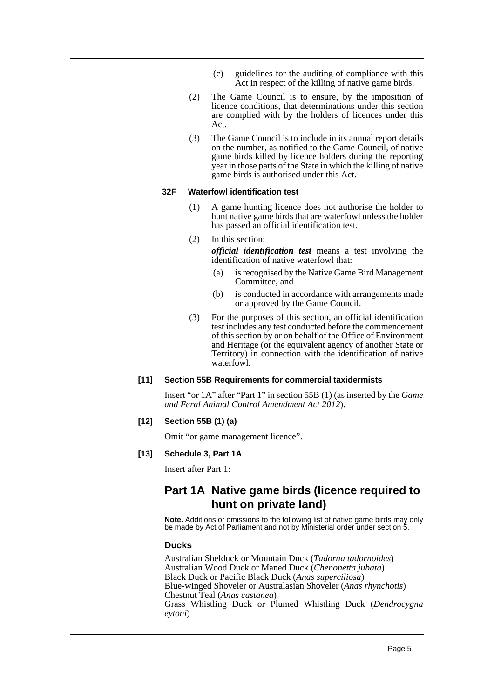- (c) guidelines for the auditing of compliance with this Act in respect of the killing of native game birds.
- (2) The Game Council is to ensure, by the imposition of licence conditions, that determinations under this section are complied with by the holders of licences under this Act.
- (3) The Game Council is to include in its annual report details on the number, as notified to the Game Council, of native game birds killed by licence holders during the reporting year in those parts of the State in which the killing of native game birds is authorised under this Act.

#### **32F Waterfowl identification test**

- (1) A game hunting licence does not authorise the holder to hunt native game birds that are waterfowl unless the holder has passed an official identification test.
- (2) In this section:

*official identification test* means a test involving the identification of native waterfowl that:

- (a) is recognised by the Native Game Bird Management Committee, and
- (b) is conducted in accordance with arrangements made or approved by the Game Council.
- (3) For the purposes of this section, an official identification test includes any test conducted before the commencement of this section by or on behalf of the Office of Environment and Heritage (or the equivalent agency of another State or Territory) in connection with the identification of native waterfowl.

#### **[11] Section 55B Requirements for commercial taxidermists**

Insert "or 1A" after "Part 1" in section 55B (1) (as inserted by the *Game and Feral Animal Control Amendment Act 2012*).

### **[12] Section 55B (1) (a)**

Omit "or game management licence".

#### **[13] Schedule 3, Part 1A**

Insert after Part 1:

## **Part 1A Native game birds (licence required to hunt on private land)**

**Note.** Additions or omissions to the following list of native game birds may only be made by Act of Parliament and not by Ministerial order under section 5.

#### **Ducks**

Australian Shelduck or Mountain Duck (*Tadorna tadornoides*) Australian Wood Duck or Maned Duck (*Chenonetta jubata*) Black Duck or Pacific Black Duck (*Anas superciliosa*) Blue-winged Shoveler or Australasian Shoveler (*Anas rhynchotis*) Chestnut Teal (*Anas castanea*) Grass Whistling Duck or Plumed Whistling Duck (*Dendrocygna eytoni*)